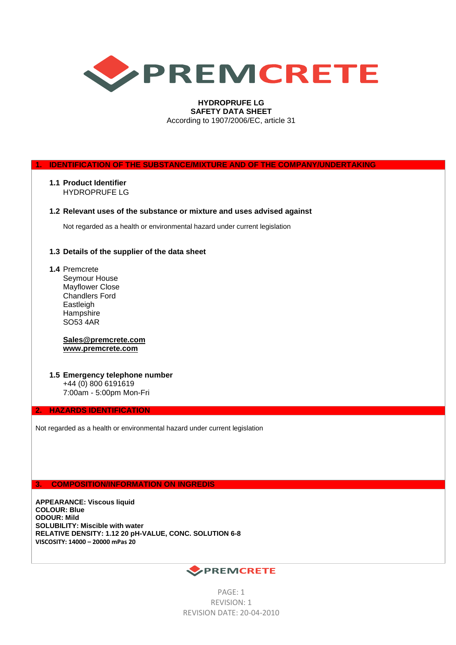

# **HYDROPRUFE LG SAFETY DATA SHEET** According to 1907/2006/EC, article 31

**1. IDENTIFICATION OF THE SUBSTANCE/MIXTURE AND OF THE COMPANY/UNDERTAKING**

**1.1 Product Identifier** HYDROPRUFE LG

# **1.2 Relevant uses of the substance or mixture and uses advised against**

Not regarded as a health or environmental hazard under current legislation

# **1.3 Details of the supplier of the data sheet**

**1.4** Premcrete Seymour House Mayflower Close Chandlers Ford Eastleigh **Hampshire** SO53 4AR

# **[Sales@premcrete.com](mailto:Sales@premcrete.com) [www.premcrete.com](http://www.premcrete.com/)**

**1.5 Emergency telephone number** +44 (0) 800 6191619 7:00am - 5:00pm Mon-Fri

# **2. HAZARDS IDENTIFICATION**

Not regarded as a health or environmental hazard under current legislation

**3. COMPOSITION/INFORMATION ON INGREDIS**

**APPEARANCE: Viscous liquid COLOUR: Blue ODOUR: Mild SOLUBILITY: Miscible with water RELATIVE DENSITY: 1.12 20 pH-VALUE, CONC. SOLUTION 6-8 VISCOSITY: 14000 – 20000 mPas 20**



PAGE: 1 REVISION: 1 REVISION DATE: 20-04-2010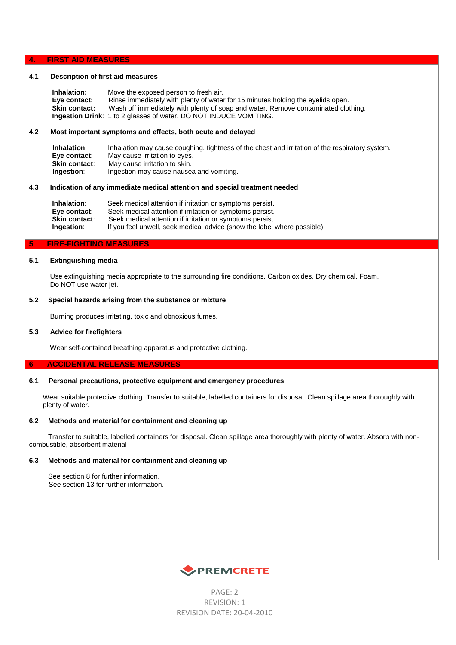## **4. FIRST AID MEASURES**

# **4.1 Description of first aid measures**

 **Inhalation:** Move the exposed person to fresh air. **Eye contact:** Rinse immediately with plenty of water for 15 minutes holding the eyelids open. **Skin contact:** Wash off immediately with plenty of soap and water. Remove contaminated clothing. **Ingestion Drink**: 1 to 2 glasses of water. DO NOT INDUCE VOMITING.

# **4.2 Most important symptoms and effects, both acute and delayed**

 **Inhalation**: Inhalation may cause coughing, tightness of the chest and irritation of the respiratory system.  **Eye contact**: May cause irritation to eyes. **Skin contact:** May cause irritation to skin. **Ingestion**: Ingestion may cause nausea and vomiting.

# **4.3 Indication of any immediate medical attention and special treatment needed**

**Inhalation:** Seek medical attention if irritation or symptoms persist. **Eye contact**: Seek medical attention if irritation or symptoms persist. **Skin contact:** Seek medical attention if irritation or symptoms persist. **Ingestion:** If you feel unwell, seek medical advice (show the label where possible).

# **5 FIRE-FIGHTING MEASURES**

# **5.1 Extinguishing media**

 Use extinguishing media appropriate to the surrounding fire conditions. Carbon oxides. Dry chemical. Foam. Do NOT use water jet.

## **5.2 Special hazards arising from the substance or mixture**

Burning produces irritating, toxic and obnoxious fumes.

## **5.3 Advice for firefighters**

Wear self-contained breathing apparatus and protective clothing.

## **6 ACCIDENTAL RELEASE MEASURES**

## **6.1 Personal precautions, protective equipment and emergency procedures**

Wear suitable protective clothing. Transfer to suitable, labelled containers for disposal. Clean spillage area thoroughly with plenty of water.

### **6.2 Methods and material for containment and cleaning up**

 Transfer to suitable, labelled containers for disposal. Clean spillage area thoroughly with plenty of water. Absorb with noncombustible, absorbent material

## **6.3 Methods and material for containment and cleaning up**

 See section 8 for further information. See section 13 for further information.



PAGE: 2 REVISION: 1 REVISION DATE: 20-04-2010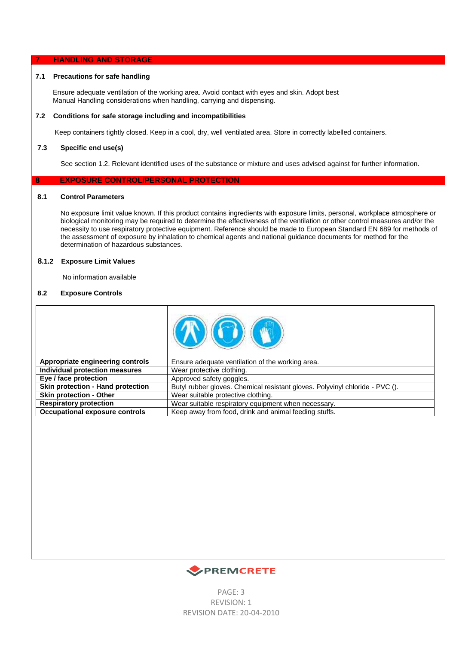## **7 HANDLING AND STORAGE**

# **7.1 Precautions for safe handling**

Ensure adequate ventilation of the working area. Avoid contact with eyes and skin. Adopt best Manual Handling considerations when handling, carrying and dispensing.

# **7.2 Conditions for safe storage including and incompatibilities**

Keep containers tightly closed. Keep in a cool, dry, well ventilated area. Store in correctly labelled containers.

## **7.3 Specific end use(s)**

See section 1.2. Relevant identified uses of the substance or mixture and uses advised against for further information.

# **8 EXPOSURE CONTROL/PERSONAL PROTECTION**

#### $8.1$ **8.1 Control Parameters**

 No exposure limit value known. If this product contains ingredients with exposure limits, personal, workplace atmosphere or biological monitoring may be required to determine the effectiveness of the ventilation or other control measures and/or the necessity to use respiratory protective equipment. Reference should be made to European Standard EN 689 for methods of the assessment of exposure by inhalation to chemical agents and national guidance documents for method for the determination of hazardous substances.

# **8.1.2 Exposure Limit Values**

No information available

# **8.2 Exposure Controls**

| Appropriate engineering controls  | Ensure adequate ventilation of the working area.                             |
|-----------------------------------|------------------------------------------------------------------------------|
| Individual protection measures    | Wear protective clothing.                                                    |
| Eye / face protection             | Approved safety goggles.                                                     |
| Skin protection - Hand protection | Butyl rubber gloves. Chemical resistant gloves. Polyvinyl chloride - PVC (). |
| <b>Skin protection - Other</b>    | Wear suitable protective clothing.                                           |
| <b>Respiratory protection</b>     | Wear suitable respiratory equipment when necessary.                          |
| Occupational exposure controls    | Keep away from food, drink and animal feeding stuffs.                        |



PAGE: 3 REVISION: 1 REVISION DATE: 20-04-2010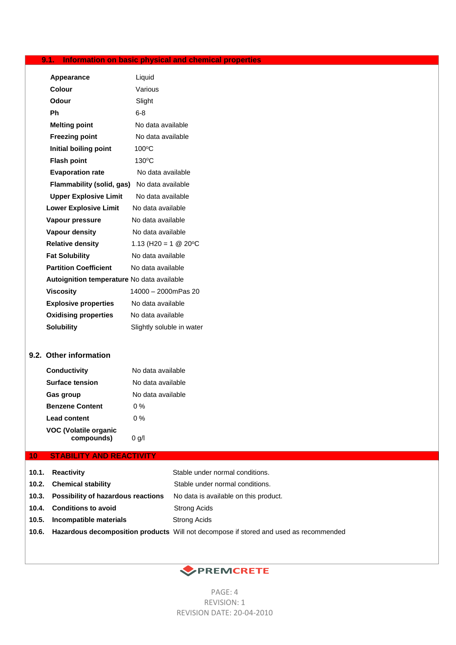# **9.1. Information on basic physical and chemical properties**

| <b>Appearance</b>                          | Liquid                    |
|--------------------------------------------|---------------------------|
| Colour                                     | Various                   |
| <b>Odour</b>                               | Slight                    |
| Ph                                         | $6-8$                     |
| <b>Melting point</b>                       | No data available         |
| <b>Freezing point</b>                      | No data available         |
| Initial boiling point                      | 100°C                     |
| <b>Flash point</b>                         | 130°C                     |
| <b>Evaporation rate</b>                    | No data available         |
| Flammability (solid, gas)                  | No data available         |
| <b>Upper Explosive Limit</b>               | No data available         |
| <b>Lower Explosive Limit</b>               | No data available         |
| Vapour pressure                            | No data available         |
| <b>Vapour density</b>                      | No data available         |
| <b>Relative density</b>                    | 1.13 (H20 = 1 $@$ 20 °C   |
| <b>Fat Solubility</b>                      | No data available         |
| <b>Partition Coefficient</b>               | No data available         |
| Autoignition temperature No data available |                           |
| <b>Viscosity</b>                           | 14000 - 2000mPas 20       |
| <b>Explosive properties</b>                | No data available         |
| <b>Oxidising properties</b>                | No data available         |
| <b>Solubility</b>                          | Slightly soluble in water |

# **9.2. Other information**

| Conductivity                        | No data available |
|-------------------------------------|-------------------|
| <b>Surface tension</b>              | No data available |
| Gas group                           | No data available |
| <b>Benzene Content</b>              | 0 %               |
| <b>Lead content</b>                 | 0 %               |
| VOC (Volatile organic<br>compounds) | 0 g/l             |

# **10 STABILITY AND REACTIVITY**

|       | 10.1. Reactivity                         | Stable under normal conditions.                                                             |
|-------|------------------------------------------|---------------------------------------------------------------------------------------------|
|       | 10.2. Chemical stability                 | Stable under normal conditions.                                                             |
|       | 10.3. Possibility of hazardous reactions | No data is available on this product.                                                       |
|       | 10.4. Conditions to avoid                | Strong Acids                                                                                |
| 10.5. | Incompatible materials                   | <b>Strong Acids</b>                                                                         |
|       |                                          | 10.6. Hazardous decomposition products Will not decompose if stored and used as recommended |
|       |                                          |                                                                                             |



PAGE: 4 REVISION: 1 REVISION DATE: 20-04-2010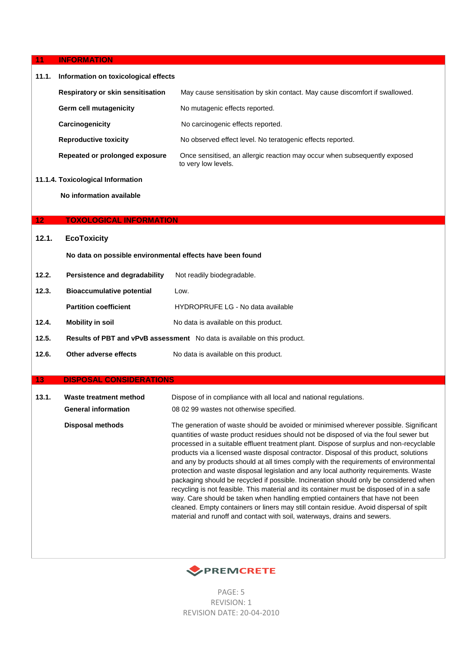|  | 11 |  | <b>INFORMATION</b> |
|--|----|--|--------------------|
|--|----|--|--------------------|

г

| 11.1.           | Information on toxicological effects                      |                                                                                                                                                                                                                                                                                                                                                                                                                                                                                                                                                                                                                                                                                                                                                                                                                                                                                                                                                                                                    |
|-----------------|-----------------------------------------------------------|----------------------------------------------------------------------------------------------------------------------------------------------------------------------------------------------------------------------------------------------------------------------------------------------------------------------------------------------------------------------------------------------------------------------------------------------------------------------------------------------------------------------------------------------------------------------------------------------------------------------------------------------------------------------------------------------------------------------------------------------------------------------------------------------------------------------------------------------------------------------------------------------------------------------------------------------------------------------------------------------------|
|                 | <b>Respiratory or skin sensitisation</b>                  | May cause sensitisation by skin contact. May cause discomfort if swallowed.                                                                                                                                                                                                                                                                                                                                                                                                                                                                                                                                                                                                                                                                                                                                                                                                                                                                                                                        |
|                 | <b>Germ cell mutagenicity</b>                             | No mutagenic effects reported.                                                                                                                                                                                                                                                                                                                                                                                                                                                                                                                                                                                                                                                                                                                                                                                                                                                                                                                                                                     |
|                 | Carcinogenicity                                           | No carcinogenic effects reported.                                                                                                                                                                                                                                                                                                                                                                                                                                                                                                                                                                                                                                                                                                                                                                                                                                                                                                                                                                  |
|                 | <b>Reproductive toxicity</b>                              | No observed effect level. No teratogenic effects reported.                                                                                                                                                                                                                                                                                                                                                                                                                                                                                                                                                                                                                                                                                                                                                                                                                                                                                                                                         |
|                 | Repeated or prolonged exposure                            | Once sensitised, an allergic reaction may occur when subsequently exposed<br>to very low levels.                                                                                                                                                                                                                                                                                                                                                                                                                                                                                                                                                                                                                                                                                                                                                                                                                                                                                                   |
|                 | 11.1.4. Toxicological Information                         |                                                                                                                                                                                                                                                                                                                                                                                                                                                                                                                                                                                                                                                                                                                                                                                                                                                                                                                                                                                                    |
|                 | No information available                                  |                                                                                                                                                                                                                                                                                                                                                                                                                                                                                                                                                                                                                                                                                                                                                                                                                                                                                                                                                                                                    |
|                 |                                                           |                                                                                                                                                                                                                                                                                                                                                                                                                                                                                                                                                                                                                                                                                                                                                                                                                                                                                                                                                                                                    |
| 12 <sub>1</sub> | <b>TOXOLOGICAL INFORMATION</b>                            |                                                                                                                                                                                                                                                                                                                                                                                                                                                                                                                                                                                                                                                                                                                                                                                                                                                                                                                                                                                                    |
| 12.1.           | <b>EcoToxicity</b>                                        |                                                                                                                                                                                                                                                                                                                                                                                                                                                                                                                                                                                                                                                                                                                                                                                                                                                                                                                                                                                                    |
|                 | No data on possible environmental effects have been found |                                                                                                                                                                                                                                                                                                                                                                                                                                                                                                                                                                                                                                                                                                                                                                                                                                                                                                                                                                                                    |
| 12.2.           | Persistence and degradability                             | Not readily biodegradable.                                                                                                                                                                                                                                                                                                                                                                                                                                                                                                                                                                                                                                                                                                                                                                                                                                                                                                                                                                         |
| 12.3.           | <b>Bioaccumulative potential</b>                          | Low.                                                                                                                                                                                                                                                                                                                                                                                                                                                                                                                                                                                                                                                                                                                                                                                                                                                                                                                                                                                               |
|                 | <b>Partition coefficient</b>                              | HYDROPRUFE LG - No data available                                                                                                                                                                                                                                                                                                                                                                                                                                                                                                                                                                                                                                                                                                                                                                                                                                                                                                                                                                  |
| 12.4.           | <b>Mobility in soil</b>                                   | No data is available on this product.                                                                                                                                                                                                                                                                                                                                                                                                                                                                                                                                                                                                                                                                                                                                                                                                                                                                                                                                                              |
| 12.5.           |                                                           | Results of PBT and vPvB assessment No data is available on this product.                                                                                                                                                                                                                                                                                                                                                                                                                                                                                                                                                                                                                                                                                                                                                                                                                                                                                                                           |
| 12.6.           | Other adverse effects                                     | No data is available on this product.                                                                                                                                                                                                                                                                                                                                                                                                                                                                                                                                                                                                                                                                                                                                                                                                                                                                                                                                                              |
|                 |                                                           |                                                                                                                                                                                                                                                                                                                                                                                                                                                                                                                                                                                                                                                                                                                                                                                                                                                                                                                                                                                                    |
| 13              | <b>DISPOSAL CONSIDERATIONS</b>                            |                                                                                                                                                                                                                                                                                                                                                                                                                                                                                                                                                                                                                                                                                                                                                                                                                                                                                                                                                                                                    |
| 13.1.           | Waste treatment method                                    | Dispose of in compliance with all local and national regulations.                                                                                                                                                                                                                                                                                                                                                                                                                                                                                                                                                                                                                                                                                                                                                                                                                                                                                                                                  |
|                 | <b>General information</b>                                | 08 02 99 wastes not otherwise specified.                                                                                                                                                                                                                                                                                                                                                                                                                                                                                                                                                                                                                                                                                                                                                                                                                                                                                                                                                           |
|                 | <b>Disposal methods</b>                                   | The generation of waste should be avoided or minimised wherever possible. Significant<br>quantities of waste product residues should not be disposed of via the foul sewer but<br>processed in a suitable effluent treatment plant. Dispose of surplus and non-recyclable<br>products via a licensed waste disposal contractor. Disposal of this product, solutions<br>and any by products should at all times comply with the requirements of environmental<br>protection and waste disposal legislation and any local authority requirements. Waste<br>packaging should be recycled if possible. Incineration should only be considered when<br>recycling is not feasible. This material and its container must be disposed of in a safe<br>way. Care should be taken when handling emptied containers that have not been<br>cleaned. Empty containers or liners may still contain residue. Avoid dispersal of spilt<br>material and runoff and contact with soil, waterways, drains and sewers. |



PAGE: 5 REVISION: 1 REVISION DATE: 20-04-2010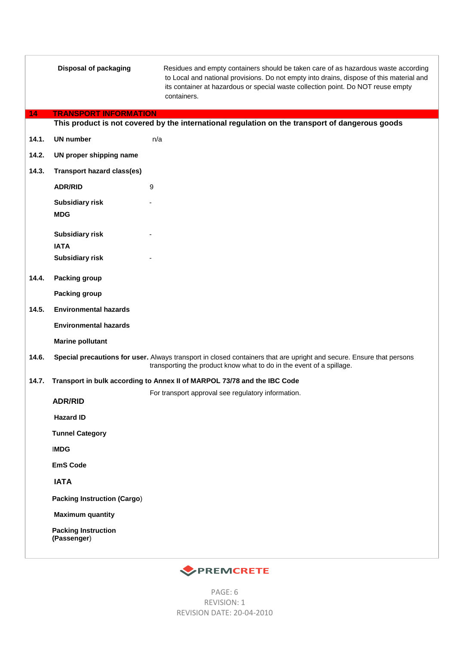|       | <b>Disposal of packaging</b>              | Residues and empty containers should be taken care of as hazardous waste according<br>to Local and national provisions. Do not empty into drains, dispose of this material and<br>its container at hazardous or special waste collection point. Do NOT reuse empty<br>containers. |
|-------|-------------------------------------------|-----------------------------------------------------------------------------------------------------------------------------------------------------------------------------------------------------------------------------------------------------------------------------------|
| 14    | <b>TRANSPORT INFORMATION</b>              | This product is not covered by the international regulation on the transport of dangerous goods                                                                                                                                                                                   |
| 14.1. | <b>UN number</b>                          |                                                                                                                                                                                                                                                                                   |
|       |                                           | n/a                                                                                                                                                                                                                                                                               |
| 14.2. | UN proper shipping name                   |                                                                                                                                                                                                                                                                                   |
| 14.3. | <b>Transport hazard class(es)</b>         |                                                                                                                                                                                                                                                                                   |
|       | <b>ADR/RID</b>                            | 9                                                                                                                                                                                                                                                                                 |
|       | <b>Subsidiary risk</b>                    |                                                                                                                                                                                                                                                                                   |
|       | <b>MDG</b>                                |                                                                                                                                                                                                                                                                                   |
|       | <b>Subsidiary risk</b>                    |                                                                                                                                                                                                                                                                                   |
|       | <b>IATA</b><br><b>Subsidiary risk</b>     |                                                                                                                                                                                                                                                                                   |
|       |                                           |                                                                                                                                                                                                                                                                                   |
| 14.4. | <b>Packing group</b>                      |                                                                                                                                                                                                                                                                                   |
|       | <b>Packing group</b>                      |                                                                                                                                                                                                                                                                                   |
| 14.5. | <b>Environmental hazards</b>              |                                                                                                                                                                                                                                                                                   |
|       | <b>Environmental hazards</b>              |                                                                                                                                                                                                                                                                                   |
|       | <b>Marine pollutant</b>                   |                                                                                                                                                                                                                                                                                   |
| 14.6. |                                           | Special precautions for user. Always transport in closed containers that are upright and secure. Ensure that persons<br>transporting the product know what to do in the event of a spillage.                                                                                      |
| 14.7. |                                           | Transport in bulk according to Annex II of MARPOL 73/78 and the IBC Code                                                                                                                                                                                                          |
|       | <b>ADR/RID</b>                            | For transport approval see regulatory information.                                                                                                                                                                                                                                |
|       | <b>Hazard ID</b>                          |                                                                                                                                                                                                                                                                                   |
|       | <b>Tunnel Category</b>                    |                                                                                                                                                                                                                                                                                   |
|       |                                           |                                                                                                                                                                                                                                                                                   |
|       | <b>IMDG</b>                               |                                                                                                                                                                                                                                                                                   |
|       | <b>EmS Code</b>                           |                                                                                                                                                                                                                                                                                   |
|       | <b>IATA</b>                               |                                                                                                                                                                                                                                                                                   |
|       | <b>Packing Instruction (Cargo)</b>        |                                                                                                                                                                                                                                                                                   |
|       | <b>Maximum quantity</b>                   |                                                                                                                                                                                                                                                                                   |
|       | <b>Packing Instruction</b><br>(Passenger) |                                                                                                                                                                                                                                                                                   |
|       |                                           |                                                                                                                                                                                                                                                                                   |



PAGE: 6 REVISION: 1 REVISION DATE: 20-04-2010